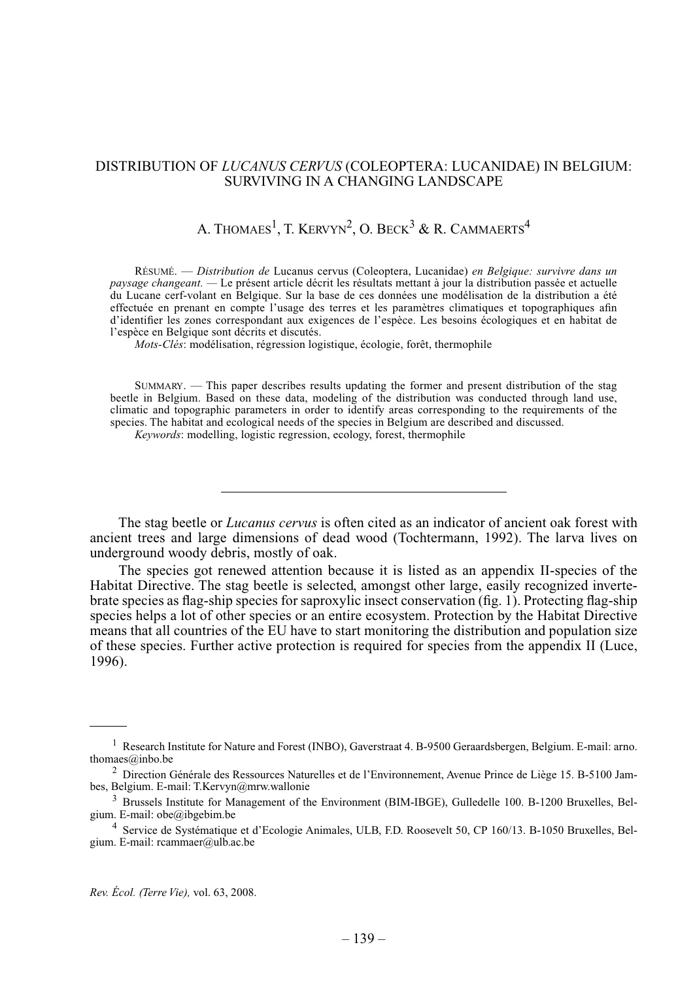# Distribution of *Lucanus cervus* (Coleoptera: Lucanidae) in Belgium: surviving in a changing landscape

# A. Thomaes<sup>1</sup>, T. Kervyn<sup>2</sup>, O. Beck<sup>3</sup> & R. Cammaerts<sup>4</sup>

Résumé. — *Distribution de* Lucanus cervus (Coleoptera, Lucanidae) *en Belgique: survivre dans un paysage changeant. —* Le présent article décrit les résultats mettant à jour la distribution passée et actuelle du Lucane cerf-volant en Belgique. Sur la base de ces données une modélisation de la distribution a été effectuée en prenant en compte l'usage des terres et les paramètres climatiques et topographiques afin d'identifier les zones correspondant aux exigences de l'espèce. Les besoins écologiques et en habitat de l'espèce en Belgique sont décrits et discutés.

*Mots-clés*: modélisation, régression logistique, écologie, forêt, thermophile

Summary. — This paper describes results updating the former and present distribution of the stag beetle in Belgium. Based on these data, modeling of the distribution was conducted through land use, climatic and topographic parameters in order to identify areas corresponding to the requirements of the species. The habitat and ecological needs of the species in Belgium are described and discussed.

*Keywords*: modelling, logistic regression, ecology, forest, thermophile

The stag beetle or *Lucanus cervus* is often cited as an indicator of ancient oak forest with ancient trees and large dimensions of dead wood (Tochtermann, 1992). The larva lives on underground woody debris, mostly of oak.

The species got renewed attention because it is listed as an appendix II-species of the Habitat Directive. The stag beetle is selected, amongst other large, easily recognized invertebrate species as flag-ship species for saproxylic insect conservation (fig. 1). Protecting flag-ship species helps a lot of other species or an entire ecosystem. Protection by the Habitat Directive means that all countries of the EU have to start monitoring the distribution and population size of these species. Further active protection is required for species from the appendix II (Luce, 1996).

<sup>&</sup>lt;sup>1</sup> Research Institute for Nature and Forest (INBO), Gaverstraat 4. B-9500 Geraardsbergen, Belgium. E-mail: arno. thomaes@inbo.be

<sup>2</sup> Direction Générale des Ressources Naturelles et de l'Environnement, Avenue Prince de Liège 15. B-5100 Jambes, Belgium. E-mail: T.Kervyn@mrw.wallonie

<sup>&</sup>lt;sup>3</sup> Brussels Institute for Management of the Environment (BIM-IBGE), Gulledelle 100. B-1200 Bruxelles, Belgium. E-mail: obe@ibgebim.be

<sup>4</sup> Service de Systématique et d'Ecologie Animales, ULB, F.D. Roosevelt 50, CP 160/13. B-1050 Bruxelles, Belgium. E-mail: rcammaer@ulb.ac.be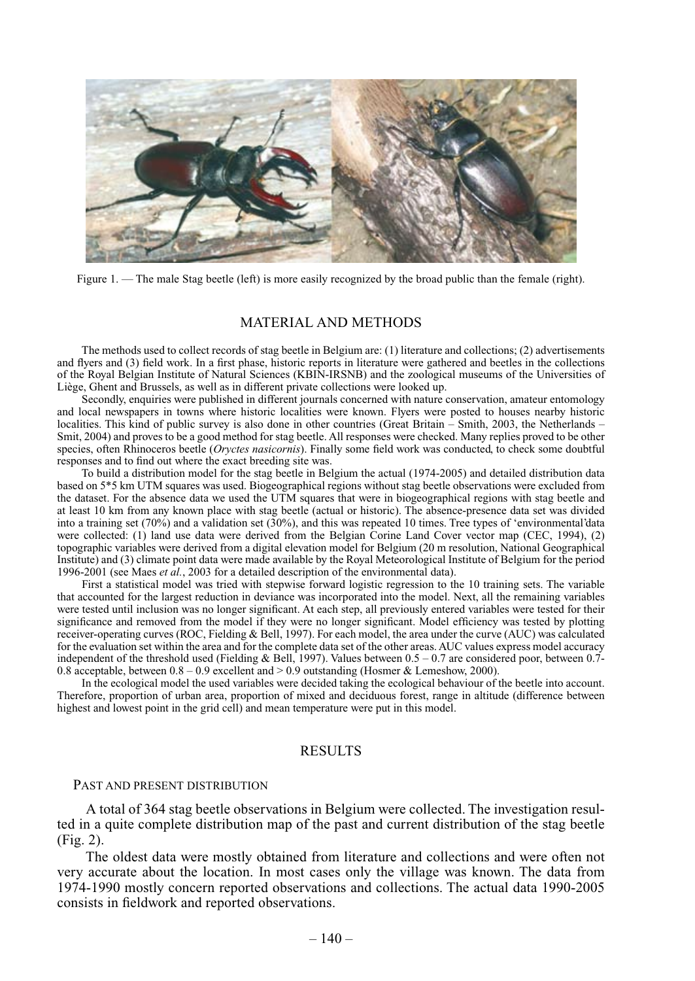

Figure 1. — The male Stag beetle (left) is more easily recognized by the broad public than the female (right).

# Material and Methods

The methods used to collect records of stag beetle in Belgium are: (1) literature and collections; (2) advertisements and flyers and (3) field work. In a first phase, historic reports in literature were gathered and beetles in the collections of the Royal Belgian Institute of Natural Sciences (KBIN-IRSNB) and the zoological museums of the Universities of Liège, Ghent and Brussels, as well as in different private collections were looked up.

Secondly, enquiries were published in different journals concerned with nature conservation, amateur entomology and local newspapers in towns where historic localities were known. Flyers were posted to houses nearby historic localities. This kind of public survey is also done in other countries (Great Britain – Smith, 2003, the Netherlands – Smit, 2004) and proves to be a good method for stag beetle. All responses were checked. Many replies proved to be other species, often Rhinoceros beetle (*Oryctes nasicornis*). Finally some field work was conducted, to check some doubtful responses and to find out where the exact breeding site was.

To build a distribution model for the stag beetle in Belgium the actual (1974-2005) and detailed distribution data based on 5\*5 km UTM squares was used. Biogeographical regions without stag beetle observations were excluded from the dataset. For the absence data we used the UTM squares that were in biogeographical regions with stag beetle and at least 10 km from any known place with stag beetle (actual or historic). The absence-presence data set was divided into a training set (70%) and a validation set (30%), and this was repeated 10 times. Tree types of 'environmental'data were collected: (1) land use data were derived from the Belgian Corine Land Cover vector map (CEC, 1994), (2) topographic variables were derived from a digital elevation model for Belgium (20 m resolution, National Geographical Institute) and (3) climate point data were made available by the Royal Meteorological Institute of Belgium for the period 1996-2001 (see Maes *et al.*, 2003 for a detailed description of the environmental data).

First a statistical model was tried with stepwise forward logistic regression to the 10 training sets. The variable that accounted for the largest reduction in deviance was incorporated into the model. Next, all the remaining variables were tested until inclusion was no longer significant. At each step, all previously entered variables were tested for their significance and removed from the model if they were no longer significant. Model efficiency was tested by plotting receiver-operating curves (ROC, Fielding & Bell, 1997). For each model, the area under the curve (AUC) was calculated for the evaluation set within the area and for the complete data set of the other areas. AUC values express model accuracy independent of the threshold used (Fielding & Bell, 1997). Values between 0.5 – 0.7 are considered poor, between 0.7- 0.8 acceptable, between 0.8 – 0.9 excellent and > 0.9 outstanding (Hosmer & Lemeshow, 2000).

In the ecological model the used variables were decided taking the ecological behaviour of the beetle into account. Therefore, proportion of urban area, proportion of mixed and deciduous forest, range in altitude (difference between highest and lowest point in the grid cell) and mean temperature were put in this model.

#### **RESULTS**

### PAST AND PRESENT DISTRIBUTION

A total of 364 stag beetle observations in Belgium were collected. The investigation resulted in a quite complete distribution map of the past and current distribution of the stag beetle (Fig. 2).

The oldest data were mostly obtained from literature and collections and were often not very accurate about the location. In most cases only the village was known. The data from 1974-1990 mostly concern reported observations and collections. The actual data 1990-2005 consists in fieldwork and reported observations.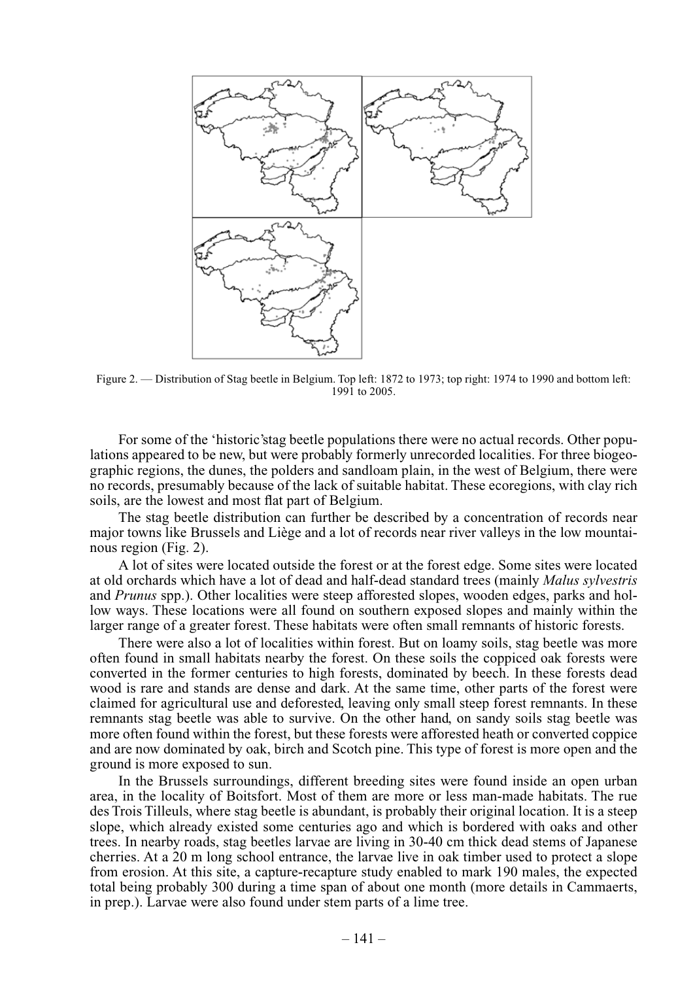

Figure 2. — Distribution of Stag beetle in Belgium. Top left: 1872 to 1973; top right: 1974 to 1990 and bottom left: 1991 to 2005.

For some of the 'historic'stag beetle populations there were no actual records. Other populations appeared to be new, but were probably formerly unrecorded localities. For three biogeographic regions, the dunes, the polders and sandloam plain, in the west of Belgium, there were no records, presumably because of the lack of suitable habitat. These ecoregions, with clay rich soils, are the lowest and most flat part of Belgium.

The stag beetle distribution can further be described by a concentration of records near major towns like Brussels and Liège and a lot of records near river valleys in the low mountainous region (Fig. 2).

A lot of sites were located outside the forest or at the forest edge. Some sites were located at old orchards which have a lot of dead and half-dead standard trees (mainly *Malus sylvestris*  and *Prunus* spp.). Other localities were steep afforested slopes, wooden edges, parks and hollow ways. These locations were all found on southern exposed slopes and mainly within the larger range of a greater forest. These habitats were often small remnants of historic forests.

There were also a lot of localities within forest. But on loamy soils, stag beetle was more often found in small habitats nearby the forest. On these soils the coppiced oak forests were converted in the former centuries to high forests, dominated by beech. In these forests dead wood is rare and stands are dense and dark. At the same time, other parts of the forest were claimed for agricultural use and deforested, leaving only small steep forest remnants. In these remnants stag beetle was able to survive. On the other hand, on sandy soils stag beetle was more often found within the forest, but these forests were afforested heath or converted coppice and are now dominated by oak, birch and Scotch pine. This type of forest is more open and the ground is more exposed to sun.

In the Brussels surroundings, different breeding sites were found inside an open urban area, in the locality of Boitsfort. Most of them are more or less man-made habitats. The rue des Trois Tilleuls, where stag beetle is abundant, is probably their original location. It is a steep slope, which already existed some centuries ago and which is bordered with oaks and other trees. In nearby roads, stag beetles larvae are living in 30-40 cm thick dead stems of Japanese cherries. At a 20 m long school entrance, the larvae live in oak timber used to protect a slope from erosion. At this site, a capture-recapture study enabled to mark 190 males, the expected total being probably 300 during a time span of about one month (more details in Cammaerts, in prep.). Larvae were also found under stem parts of a lime tree.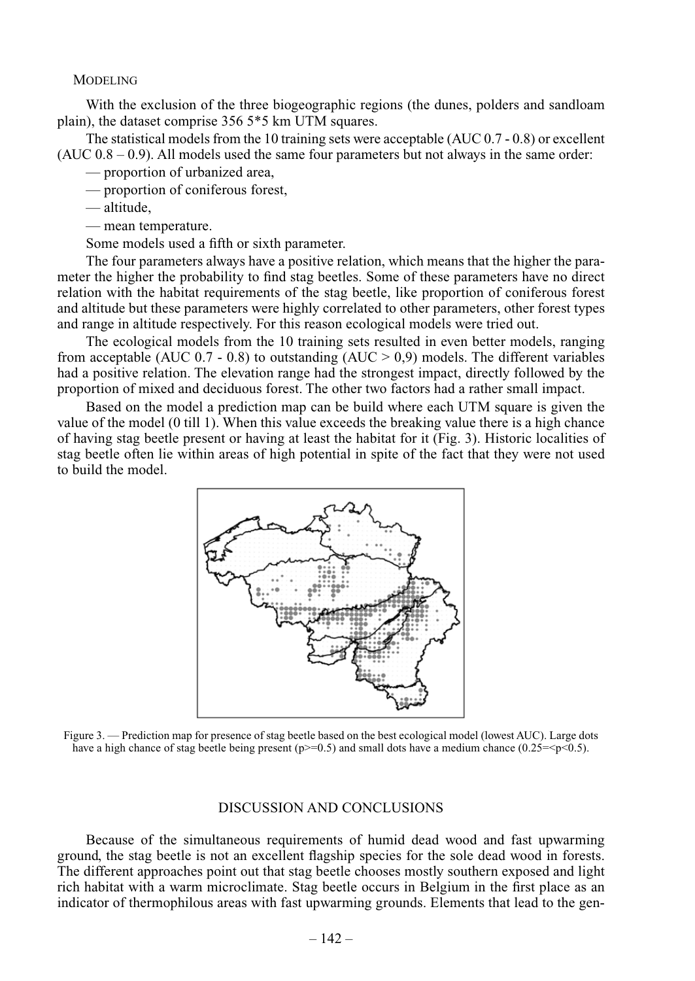#### **MODELING**

With the exclusion of the three biogeographic regions (the dunes, polders and sandloam plain), the dataset comprise 356 5\*5 km UTM squares.

The statistical models from the 10 training sets were acceptable (AUC 0.7 - 0.8) or excellent  $(AUC 0.8 - 0.9)$ . All models used the same four parameters but not always in the same order:

- proportion of urbanized area,
- proportion of coniferous forest,
- altitude,
- mean temperature.

Some models used a fifth or sixth parameter.

The four parameters always have a positive relation, which means that the higher the parameter the higher the probability to find stag beetles. Some of these parameters have no direct relation with the habitat requirements of the stag beetle, like proportion of coniferous forest and altitude but these parameters were highly correlated to other parameters, other forest types and range in altitude respectively. For this reason ecological models were tried out.

The ecological models from the 10 training sets resulted in even better models, ranging from acceptable (AUC  $0.7 - 0.8$ ) to outstanding (AUC  $> 0.9$ ) models. The different variables had a positive relation. The elevation range had the strongest impact, directly followed by the proportion of mixed and deciduous forest. The other two factors had a rather small impact.

Based on the model a prediction map can be build where each UTM square is given the value of the model (0 till 1). When this value exceeds the breaking value there is a high chance of having stag beetle present or having at least the habitat for it (Fig. 3). Historic localities of stag beetle often lie within areas of high potential in spite of the fact that they were not used to build the model.



Figure 3. — Prediction map for presence of stag beetle based on the best ecological model (lowest AUC). Large dots have a high chance of stag beetle being present ( $p>=0.5$ ) and small dots have a medium chance (0.25= $\leq p \leq 0.5$ ).

#### Discussion and Conclusions

Because of the simultaneous requirements of humid dead wood and fast upwarming ground, the stag beetle is not an excellent flagship species for the sole dead wood in forests. The different approaches point out that stag beetle chooses mostly southern exposed and light rich habitat with a warm microclimate. Stag beetle occurs in Belgium in the first place as an indicator of thermophilous areas with fast upwarming grounds. Elements that lead to the gen-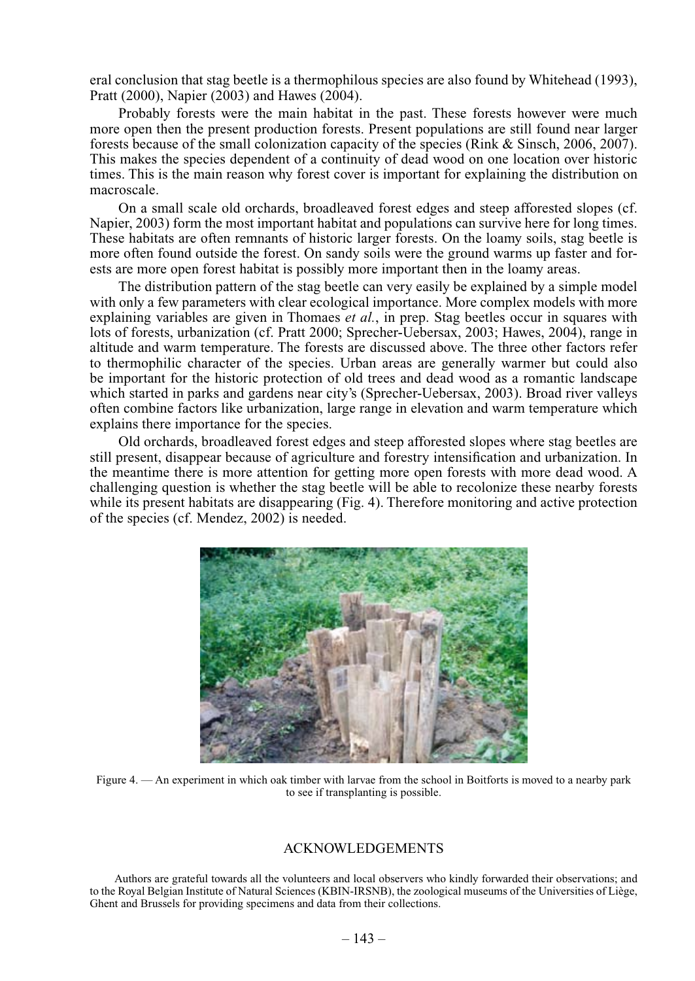eral conclusion that stag beetle is a thermophilous species are also found by Whitehead (1993), Pratt (2000), Napier (2003) and Hawes (2004).

Probably forests were the main habitat in the past. These forests however were much more open then the present production forests. Present populations are still found near larger forests because of the small colonization capacity of the species (Rink & Sinsch, 2006, 2007). This makes the species dependent of a continuity of dead wood on one location over historic times. This is the main reason why forest cover is important for explaining the distribution on macroscale.

On a small scale old orchards, broadleaved forest edges and steep afforested slopes (cf. Napier, 2003) form the most important habitat and populations can survive here for long times. These habitats are often remnants of historic larger forests. On the loamy soils, stag beetle is more often found outside the forest. On sandy soils were the ground warms up faster and forests are more open forest habitat is possibly more important then in the loamy areas.

The distribution pattern of the stag beetle can very easily be explained by a simple model with only a few parameters with clear ecological importance. More complex models with more explaining variables are given in Thomaes *et al.*, in prep. Stag beetles occur in squares with lots of forests, urbanization (cf. Pratt 2000; Sprecher-Uebersax, 2003; Hawes, 2004), range in altitude and warm temperature. The forests are discussed above. The three other factors refer to thermophilic character of the species. Urban areas are generally warmer but could also be important for the historic protection of old trees and dead wood as a romantic landscape which started in parks and gardens near city's (Sprecher-Uebersax, 2003). Broad river valleys often combine factors like urbanization, large range in elevation and warm temperature which explains there importance for the species.

Old orchards, broadleaved forest edges and steep afforested slopes where stag beetles are still present, disappear because of agriculture and forestry intensification and urbanization. In the meantime there is more attention for getting more open forests with more dead wood. A challenging question is whether the stag beetle will be able to recolonize these nearby forests while its present habitats are disappearing (Fig. 4). Therefore monitoring and active protection of the species (cf. Mendez, 2002) is needed.



Figure 4. — An experiment in which oak timber with larvae from the school in Boitforts is moved to a nearby park to see if transplanting is possible.

### Acknowledgements

Authors are grateful towards all the volunteers and local observers who kindly forwarded their observations; and to the Royal Belgian Institute of Natural Sciences (KBIN-IRSNB), the zoological museums of the Universities of Liège, Ghent and Brussels for providing specimens and data from their collections.